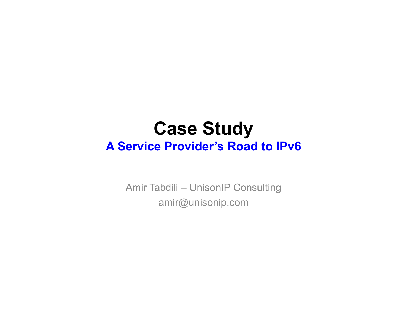## **Case Study A Service Provider's Road to IPv6**

Amir Tabdili – UnisonIP Consulting amir@unisonip.com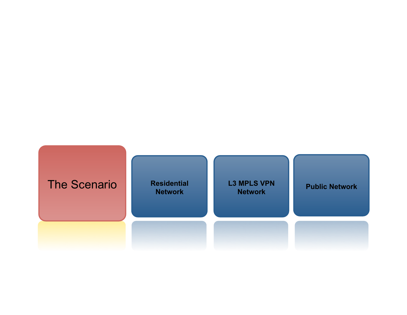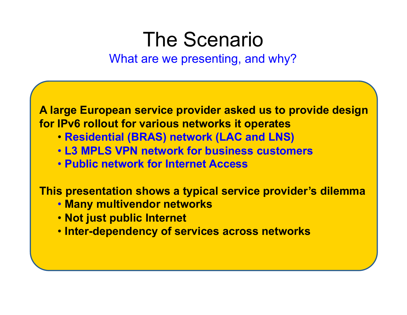## The Scenario

What are we presenting, and why?

**A large European service provider asked us to provide design for IPv6 rollout for various networks it operates** 

- **Residential (BRAS) network (LAC and LNS)**
- • **L3 MPLS VPN network for business customers**
- • **Public network for Internet Access**

**This presentation shows a typical service provider's dilemma**

- **Many multivendor networks**
- • **Not just public Internet**
- • **Inter-dependency of services across networks**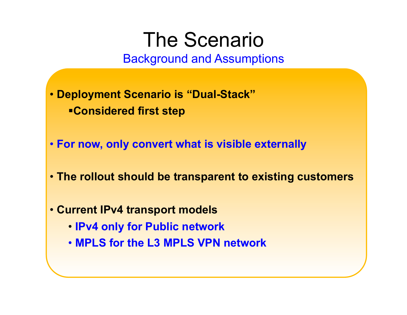## The Scenario

Background and Assumptions

- • **Deployment Scenario is "Dual-Stack" Considered first step**
- • **For now, only convert what is visible externally**
- • **The rollout should be transparent to existing customers**
- • **Current IPv4 transport models** 
	- **IPv4 only for Public network**
	- • **MPLS for the L3 MPLS VPN network**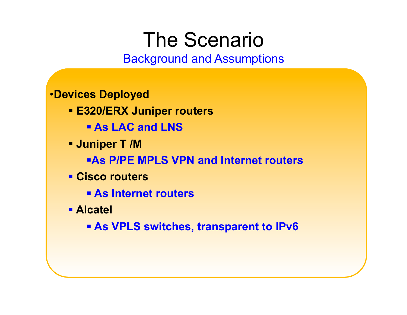## The Scenario

### Background and Assumptions

### •**Devices Deployed**

- **E320/ERX Juniper routers** 
	- **Example 2 As LAC and LNS**
- **Juniper T /M** 
	- **As P/PE MPLS VPN and Internet routers**
- **Cisco routers** 
	- **As Internet routers**
- **Alcatel** 
	- **As VPLS switches, transparent to IPv6**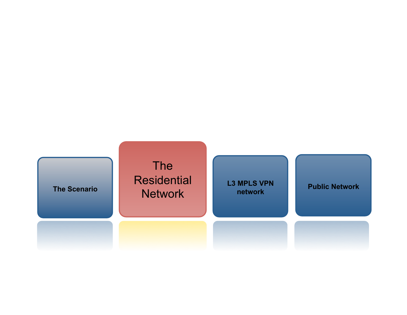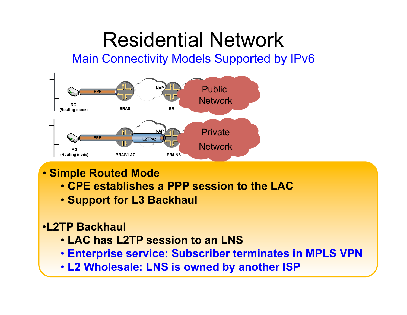Main Connectivity Models Supported by IPv6



- • **Simple Routed Mode** 
	- • **CPE establishes a PPP session to the LAC**
	- • **Support for L3 Backhaul**
- •**L2TP Backhaul** 
	- • **LAC has L2TP session to an LNS**
	- • **Enterprise service: Subscriber terminates in MPLS VPN**
	- • **L2 Wholesale: LNS is owned by another ISP**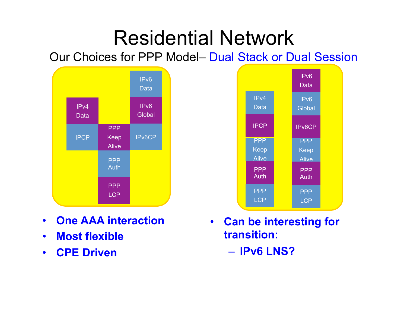Our Choices for PPP Model– Dual Stack or Dual Session





- **Most flexible**
- **CPE Driven**



- **Can be interesting for transition:** 
	- **IPv6 LNS?**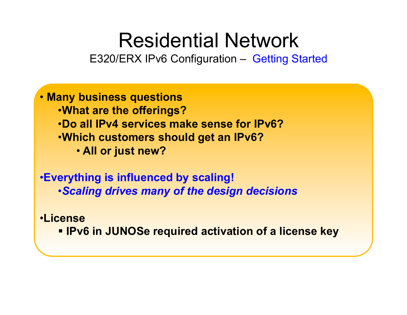E320/ERX IPv6 Configuration – Getting Started

- • **Many business questions**  •**What are the offerings?**  •**Do all IPv4 services make sense for IPv6?**  •**Which customers should get an IPv6?**  • **All or just new?**
- •**Everything is influenced by scaling!**  •*Scaling drives many of the design decisions*
- •**License** 
	- **<b>IPv6 in JUNOSe required activation of a license key**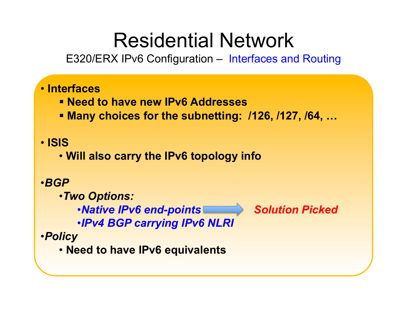E320/ERX IPv6 Configuration – Interfaces and Routing

### • **Interfaces**

- **Need to have new IPv6 Addresses**
- **Many choices for the subnetting: /126, /127, /64, …**

### • **ISIS**

• **Will also carry the IPv6 topology info** 

### •*BGP*

•*Two Options:* 

•*Native IPv6 end-points* Solution Picked

•*IPv4 BGP carrying IPv6 NLRI* 

#### •*Policy*

• **Need to have IPv6 equivalents** 

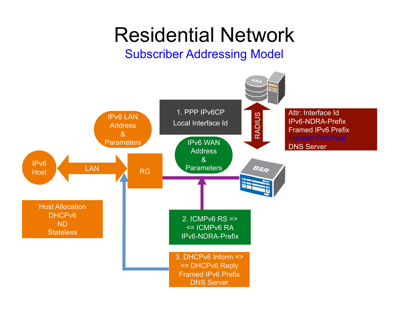## Subscriber Addressing Model

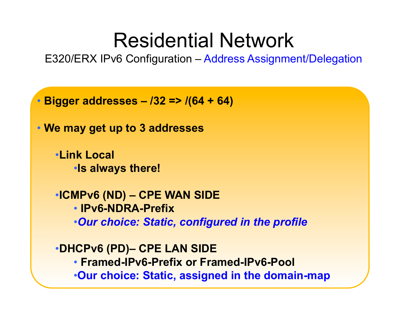E320/ERX IPv6 Configuration – Address Assignment/Delegation

• **Bigger addresses – /32 => /(64 + 64)** 

• **We may get up to 3 addresses** 

•**Link Local**  •**Is always there!** 

•**ICMPv6 (ND) – CPE WAN SIDE**  • **IPv6-NDRA-Prefix**  •*Our choice: Static, configured in the profile* 

•**DHCPv6 (PD)– CPE LAN SIDE**  • **Framed-IPv6-Prefix or Framed-IPv6-Pool**  •**Our choice: Static, assigned in the domain-map**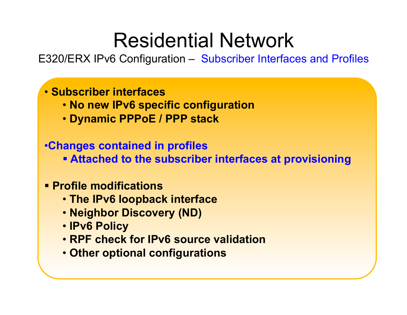E320/ERX IPv6 Configuration – Subscriber Interfaces and Profiles

### • **Subscriber interfaces**

- • **No new IPv6 specific configuration**
- • **Dynamic PPPoE / PPP stack**

### •**Changes contained in profiles**

 **Attached to the subscriber interfaces at provisioning** 

### **Profile modifications**

- • **The IPv6 loopback interface**
- • **Neighbor Discovery (ND)**
- • **IPv6 Policy**
- • **RPF check for IPv6 source validation**
- • **Other optional configurations**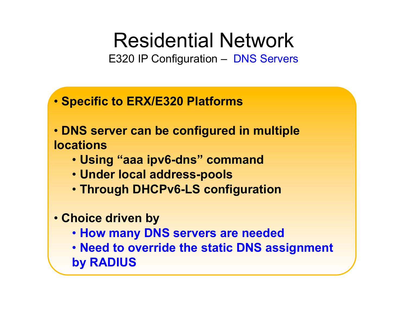E320 IP Configuration – DNS Servers

- • **Specific to ERX/E320 Platforms**
- • **DNS server can be configured in multiple locations** 
	- • **Using "aaa ipv6-dns" command**
	- • **Under local address-pools**
	- • **Through DHCPv6-LS configuration**
- • **Choice driven by** 
	- • **How many DNS servers are needed**
	- • **Need to override the static DNS assignment by RADIUS**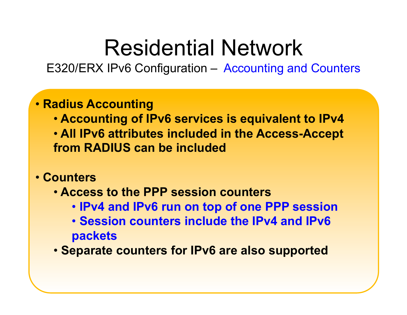E320/ERX IPv6 Configuration – Accounting and Counters

### • **Radius Accounting**

- • **Accounting of IPv6 services is equivalent to IPv4**
- • **All IPv6 attributes included in the Access-Accept from RADIUS can be included**
- • **Counters** 
	- • **Access to the PPP session counters** 
		- • **IPv4 and IPv6 run on top of one PPP session**
		- • **Session counters include the IPv4 and IPv6 packets**
	- • **Separate counters for IPv6 are also supported**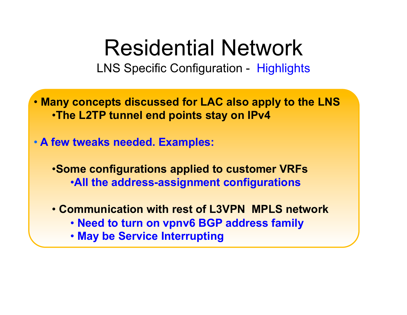LNS Specific Configuration - Highlights

• **Many concepts discussed for LAC also apply to the LNS**  •**The L2TP tunnel end points stay on IPv4** 

• **A few tweaks needed. Examples:** 

•**Some configurations applied to customer VRFs**  •**All the address-assignment configurations** 

- • **Communication with rest of L3VPN MPLS network** 
	- • **Need to turn on vpnv6 BGP address family**
	- • **May be Service Interrupting**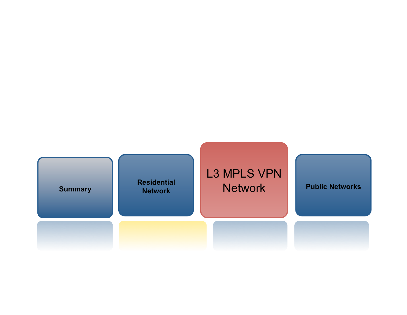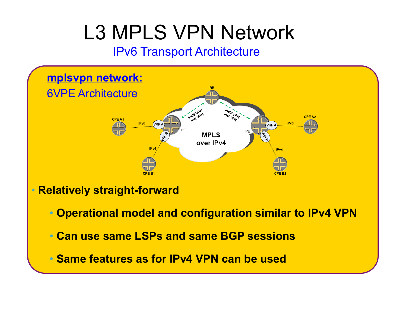## IPv6 Transport Architecture



• **Relatively straight-forward** 

- • **Operational model and configuration similar to IPv4 VPN**
- • **Can use same LSPs and same BGP sessions**
- • **Same features as for IPv4 VPN can be used**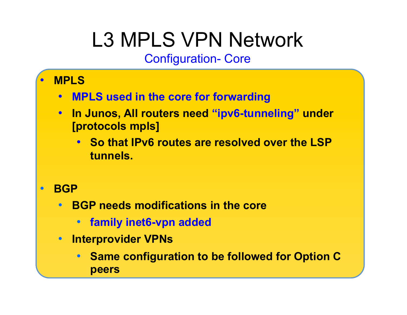Configuration- Core

- **MPLS** 
	- **MPLS used in the core for forwarding**
	- **In Junos, All routers need "ipv6-tunneling" under [protocols mpls]** 
		- **So that IPv6 routes are resolved over the LSP tunnels.**
- **BGP** 
	- **BGP needs modifications in the core** 
		- **family inet6-vpn added**
	- **Interprovider VPNs** 
		- **Same configuration to be followed for Option C peers**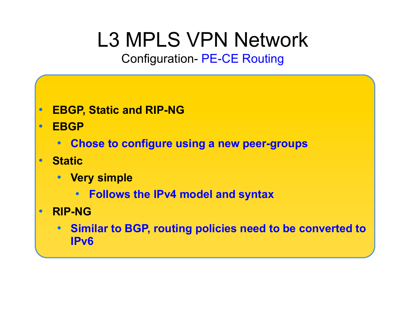Configuration- PE-CE Routing

- **EBGP, Static and RIP-NG**
- **EBGP** 
	- **Chose to configure using a new peer-groups**
- **Static** 
	- **Very simple** 
		- **Follows the IPv4 model and syntax**
- **RIP-NG** 
	- **Similar to BGP, routing policies need to be converted to IPv6**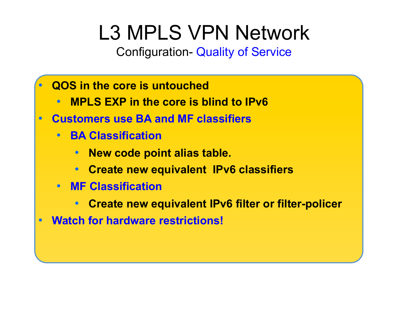Configuration- Quality of Service

- **QOS in the core is untouched** 
	- **MPLS EXP in the core is blind to IPv6**
- **Customers use BA and MF classifiers** 
	- **BA Classification** 
		- **New code point alias table.**
		- **Create new equivalent IPv6 classifiers**
	- **MF Classification** 
		- **Create new equivalent IPv6 filter or filter-policer**
- **Watch for hardware restrictions!**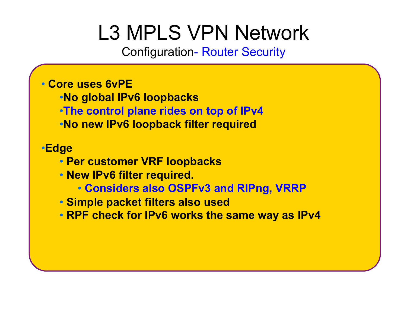Configuration- Router Security

#### • **Core uses 6vPE**

- •**No global IPv6 loopbacks**
- •**The control plane rides on top of IPv4**
- •**No new IPv6 loopback filter required**

### •**Edge**

- • **Per customer VRF loopbacks**
- • **New IPv6 filter required.** 
	- **Considers also OSPFv3 and RIPng, VRRP**
- • **Simple packet filters also used**
- • **RPF check for IPv6 works the same way as IPv4**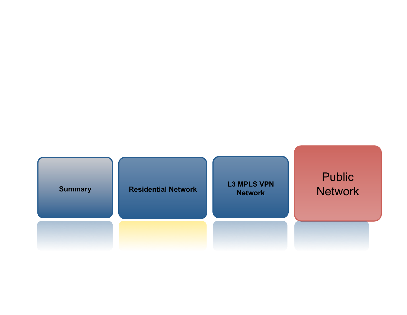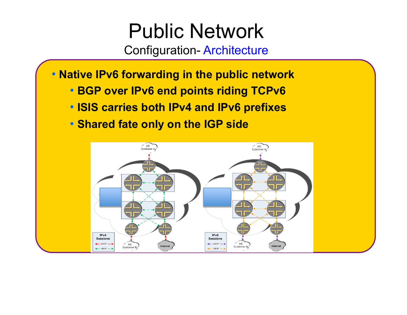# Public Network

Configuration- Architecture

- • **Native IPv6 forwarding in the public network** 
	- • **BGP over IPv6 end points riding TCPv6**
	- • **ISIS carries both IPv4 and IPv6 prefixes**
	- • **Shared fate only on the IGP side**

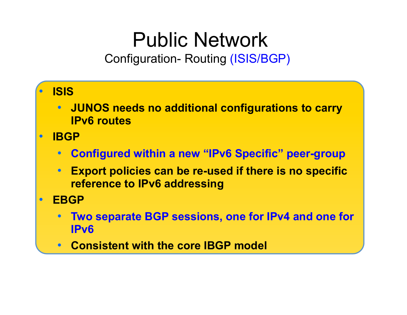# Public Network

Configuration- Routing (ISIS/BGP)

• **ISIS**  • **JUNOS needs no additional configurations to carry IPv6 routes**  • **IBGP**  • **Configured within a new "IPv6 Specific" peer-group**  • **Export policies can be re-used if there is no specific reference to IPv6 addressing**  • **EBGP**  • **Two separate BGP sessions, one for IPv4 and one for IPv6**  • **Consistent with the core IBGP model**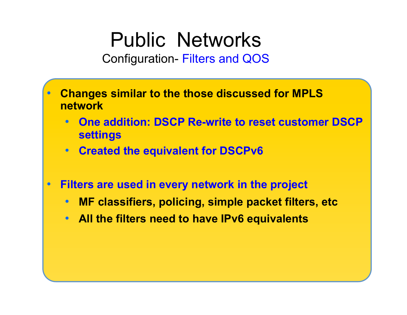# Public Networks

Configuration- Filters and QOS

- **Changes similar to the those discussed for MPLS network** 
	- **One addition: DSCP Re-write to reset customer DSCP settings**
	- **Created the equivalent for DSCPv6**
- **Filters are used in every network in the project** 
	- **MF classifiers, policing, simple packet filters, etc**
	- **All the filters need to have IPv6 equivalents**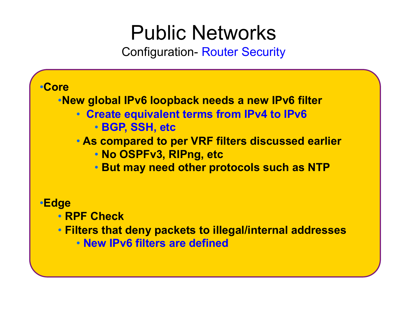# Public Networks

Configuration- Router Security



• **New IPv6 filters are defined**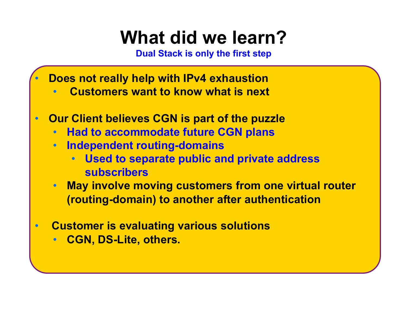**Dual Stack is only the first step**

- **Does not really help with IPv4 exhaustion** 
	- • **Customers want to know what is next**
- **Our Client believes CGN is part of the puzzle** 
	- **Had to accommodate future CGN plans**
	- **Independent routing-domains** 
		- **Used to separate public and private address subscribers**
	- **May involve moving customers from one virtual router (routing-domain) to another after authentication**
- • **Customer is evaluating various solutions** 
	- **CGN, DS-Lite, others.**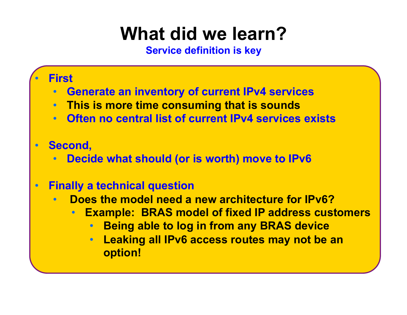**Service definition is key**

### • **First**

- **Generate an inventory of current IPv4 services**
- **This is more time consuming that is sounds**
- **Often no central list of current IPv4 services exists**

### • **Second,**

• **Decide what should (or is worth) move to IPv6** 

### • **Finally a technical question**

- • **Does the model need a new architecture for IPv6?** 
	- **Example: BRAS model of fixed IP address customers** 
		- **Being able to log in from any BRAS device**
		- **Leaking all IPv6 access routes may not be an option!**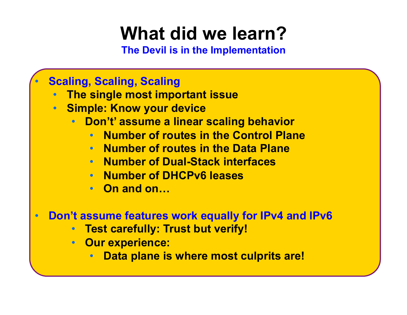**The Devil is in the Implementation**

## • **Scaling, Scaling, Scaling**

- **The single most important issue**
- **Simple: Know your device** 
	- **Don't' assume a linear scaling behavior** 
		- **Number of routes in the Control Plane**
		- **Number of routes in the Data Plane**
		- **Number of Dual-Stack interfaces**
		- **Number of DHCPv6 leases**
		- **On and on…**
- **Don't assume features work equally for IPv4 and IPv6** 
	- **Test carefully: Trust but verify!**
	- **Our experience:** 
		- **Data plane is where most culprits are!**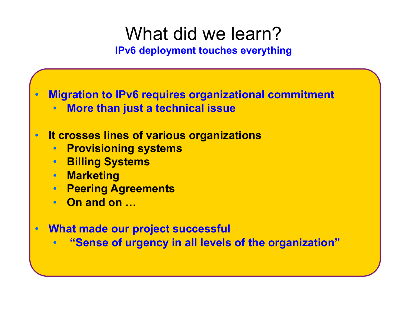**IPv6 deployment touches everything**

• **Migration to IPv6 requires organizational commitment** 

• **More than just a technical issue** 

### • **It crosses lines of various organizations**

- **Provisioning systems**
- **Billing Systems**
- **Marketing**
- **Peering Agreements**
- **On and on …**
- **What made our project successful** 
	- • **"Sense of urgency in all levels of the organization"**